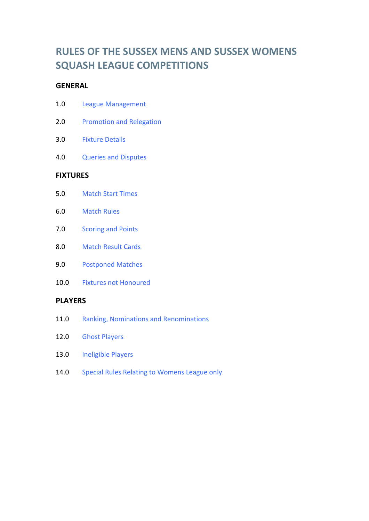# **RULES OF THE SUSSEX MENS AND SUSSEX WOMENS SQUASH LEAGUE COMPETITIONS**

# **GENERAL**

| <b>League Management</b> |
|--------------------------|
|                          |

- 2.0 [Promotion and Relegation](http://www.sussexsquash.org.uk/#PromotionandRelegation)
- 3.0 [Fixture Details](http://www.sussexsquash.org.uk/#FixtureDetails)
- 4.0 [Queries and Disputes](http://www.sussexsquash.org.uk/#QueriesandDisputes)

# **FIXTURES**

- 5.0 [Match Start Times](http://www.sussexsquash.org.uk/#MatchStartTimes)
- 6.0 [Match Rules](http://www.sussexsquash.org.uk/#MatchRules)
- 7.0 [Scoring and Points](http://www.sussexsquash.org.uk/#ScoringandPoints)
- 8.0 [Match Result Cards](http://www.sussexsquash.org.uk/#MatchResultCards)
- 9.0 [Postponed Matches](http://www.sussexsquash.org.uk/#PostponedMatches)
- 10.0 [Fixtures not Honoured](http://www.sussexsquash.org.uk/#FixturesnotHonoured)

#### **PLAYERS**

- 11.0 [Ranking, Nominations and Renominations](http://www.sussexsquash.org.uk/#Ranking,NominationsandRenominations)
- 12.0 [Ghost Players](http://www.sussexsquash.org.uk/#SpecialRulesRelatingtoMensPremier&FirstDivisionsonly)
- 13.0 [Ineligible Players](http://www.sussexsquash.org.uk/#IneligiblePlayers)
- 14.0 [Special Rules Relating to Womens League only](http://www.sussexsquash.org.uk/#SpecialRulesRelatingtoWomensLeagueonly)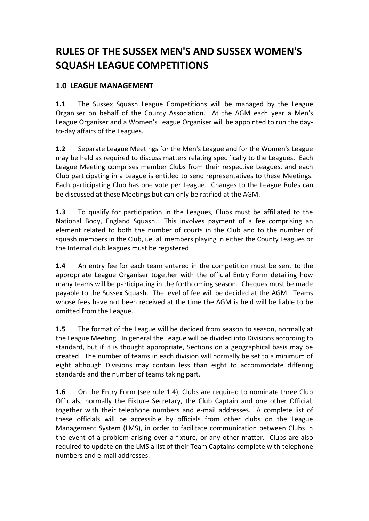# **RULES OF THE SUSSEX MEN'S AND SUSSEX WOMEN'S SQUASH LEAGUE COMPETITIONS**

# **1.0 LEAGUE MANAGEMENT**

**1.1** The Sussex Squash League Competitions will be managed by the League Organiser on behalf of the County Association. At the AGM each year a Men's League Organiser and a Women's League Organiser will be appointed to run the dayto-day affairs of the Leagues.

**1.2** Separate League Meetings for the Men's League and for the Women's League may be held as required to discuss matters relating specifically to the Leagues. Each League Meeting comprises member Clubs from their respective Leagues, and each Club participating in a League is entitled to send representatives to these Meetings. Each participating Club has one vote per League. Changes to the League Rules can be discussed at these Meetings but can only be ratified at the AGM.

**1.3** To qualify for participation in the Leagues, Clubs must be affiliated to the National Body, England Squash. This involves payment of a fee comprising an element related to both the number of courts in the Club and to the number of squash members in the Club, i.e. all members playing in either the County Leagues or the Internal club leagues must be registered.

**1.4** An entry fee for each team entered in the competition must be sent to the appropriate League Organiser together with the official Entry Form detailing how many teams will be participating in the forthcoming season. Cheques must be made payable to the Sussex Squash. The level of fee will be decided at the AGM. Teams whose fees have not been received at the time the AGM is held will be liable to be omitted from the League.

**1.5** The format of the League will be decided from season to season, normally at the League Meeting. In general the League will be divided into Divisions according to standard, but if it is thought appropriate, Sections on a geographical basis may be created. The number of teams in each division will normally be set to a minimum of eight although Divisions may contain less than eight to accommodate differing standards and the number of teams taking part.

**1.6** On the Entry Form (see rule 1.4), Clubs are required to nominate three Club Officials; normally the Fixture Secretary, the Club Captain and one other Official, together with their telephone numbers and e-mail addresses. A complete list of these officials will be accessible by officials from other clubs on the League Management System (LMS), in order to facilitate communication between Clubs in the event of a problem arising over a fixture, or any other matter. Clubs are also required to update on the LMS a list of their Team Captains complete with telephone numbers and e-mail addresses.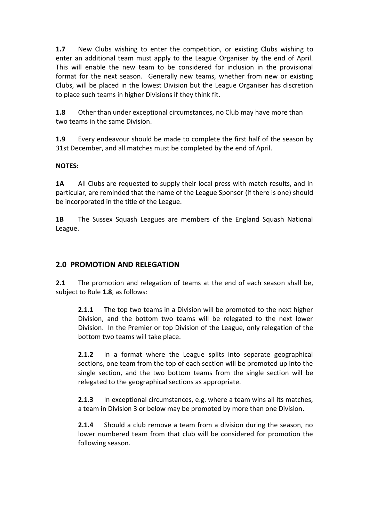**1.7** New Clubs wishing to enter the competition, or existing Clubs wishing to enter an additional team must apply to the League Organiser by the end of April. This will enable the new team to be considered for inclusion in the provisional format for the next season. Generally new teams, whether from new or existing Clubs, will be placed in the lowest Division but the League Organiser has discretion to place such teams in higher Divisions if they think fit.

**1.8** Other than under exceptional circumstances, no Club may have more than two teams in the same Division.

**1.9** Every endeavour should be made to complete the first half of the season by 31st December, and all matches must be completed by the end of April.

#### **NOTES:**

**1A** All Clubs are requested to supply their local press with match results, and in particular, are reminded that the name of the League Sponsor (if there is one) should be incorporated in the title of the League.

**1B** The Sussex Squash Leagues are members of the England Squash National League.

#### **2.0 PROMOTION AND RELEGATION**

**2.1** The promotion and relegation of teams at the end of each season shall be, subject to Rule **1.8**, as follows:

**2.1.1** The top two teams in a Division will be promoted to the next higher Division, and the bottom two teams will be relegated to the next lower Division. In the Premier or top Division of the League, only relegation of the bottom two teams will take place.

**2.1.2** In a format where the League splits into separate geographical sections, one team from the top of each section will be promoted up into the single section, and the two bottom teams from the single section will be relegated to the geographical sections as appropriate.

**2.1.3** In exceptional circumstances, e.g. where a team wins all its matches, a team in Division 3 or below may be promoted by more than one Division.

**2.1.4** Should a club remove a team from a division during the season, no lower numbered team from that club will be considered for promotion the following season.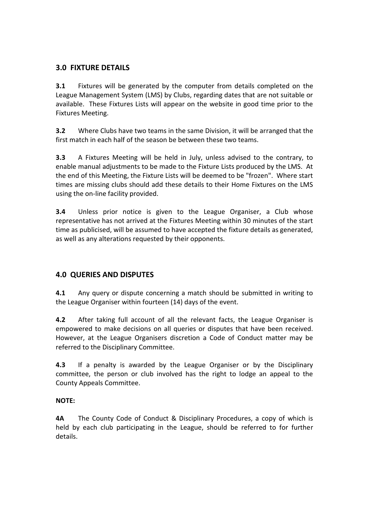# **3.0 FIXTURE DETAILS**

**3.1** Fixtures will be generated by the computer from details completed on the League Management System (LMS) by Clubs, regarding dates that are not suitable or available. These Fixtures Lists will appear on the website in good time prior to the Fixtures Meeting.

**3.2** Where Clubs have two teams in the same Division, it will be arranged that the first match in each half of the season be between these two teams.

**3.3** A Fixtures Meeting will be held in July, unless advised to the contrary, to enable manual adjustments to be made to the Fixture Lists produced by the LMS. At the end of this Meeting, the Fixture Lists will be deemed to be "frozen". Where start times are missing clubs should add these details to their Home Fixtures on the LMS using the on-line facility provided.

**3.4** Unless prior notice is given to the League Organiser, a Club whose representative has not arrived at the Fixtures Meeting within 30 minutes of the start time as publicised, will be assumed to have accepted the fixture details as generated, as well as any alterations requested by their opponents.

# **4.0 QUERIES AND DISPUTES**

**4.1** Any query or dispute concerning a match should be submitted in writing to the League Organiser within fourteen (14) days of the event.

**4.2** After taking full account of all the relevant facts, the League Organiser is empowered to make decisions on all queries or disputes that have been received. However, at the League Organisers discretion a Code of Conduct matter may be referred to the Disciplinary Committee.

**4.3** If a penalty is awarded by the League Organiser or by the Disciplinary committee, the person or club involved has the right to lodge an appeal to the County Appeals Committee.

#### **NOTE:**

**4A** The County Code of Conduct & Disciplinary Procedures, a copy of which is held by each club participating in the League, should be referred to for further details.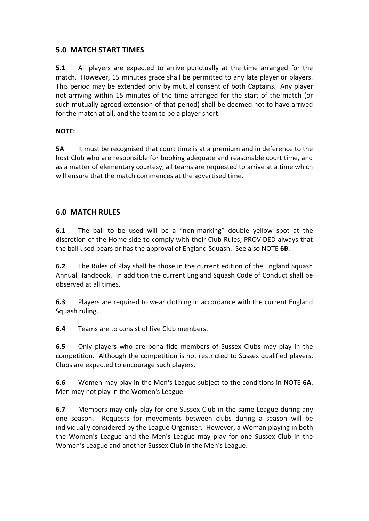## **5.0 MATCH START TIMES**

**5.1** All players are expected to arrive punctually at the time arranged for the match. However, 15 minutes grace shall be permitted to any late player or players. This period may be extended only by mutual consent of both Captains. Any player not arriving within 15 minutes of the time arranged for the start of the match (or such mutually agreed extension of that period) shall be deemed not to have arrived for the match at all, and the team to be a player short.

#### **NOTE:**

**5A** It must be recognised that court time is at a premium and in deference to the host Club who are responsible for booking adequate and reasonable court time, and as a matter of elementary courtesy, all teams are requested to arrive at a time which will ensure that the match commences at the advertised time.

## **6.0 MATCH RULES**

**6.1** The ball to be used will be a "non-marking" double yellow spot at the discretion of the Home side to comply with their Club Rules, PROVIDED always that the ball used bears or has the approval of England Squash. See also NOTE **6B**.

**6.2** The Rules of Play shall be those in the current edition of the England Squash Annual Handbook. In addition the current England Squash Code of Conduct shall be observed at all times.

**6.3** Players are required to wear clothing in accordance with the current England Squash ruling.

**6.4** Teams are to consist of five Club members.

**6.5** Only players who are bona fide members of Sussex Clubs may play in the competition. Although the competition is not restricted to Sussex qualified players, Clubs are expected to encourage such players.

**6.6** Women may play in the Men's League subject to the conditions in NOTE **6A**. Men may not play in the Women's League.

**6.7** Members may only play for one Sussex Club in the same League during any one season. Requests for movements between clubs during a season will be individually considered by the League Organiser. However, a Woman playing in both the Women's League and the Men's League may play for one Sussex Club in the Women's League and another Sussex Club in the Men's League.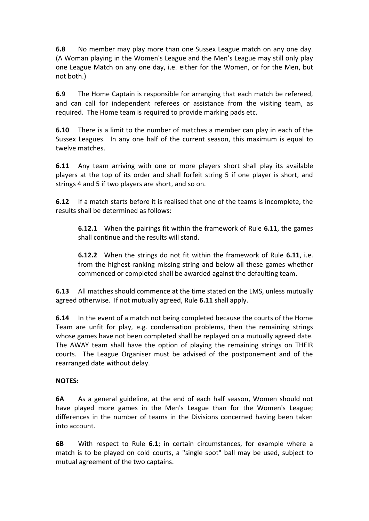**6.8** No member may play more than one Sussex League match on any one day. (A Woman playing in the Women's League and the Men's League may still only play one League Match on any one day, i.e. either for the Women, or for the Men, but not both.)

**6.9** The Home Captain is responsible for arranging that each match be refereed, and can call for independent referees or assistance from the visiting team, as required. The Home team is required to provide marking pads etc.

**6.10** There is a limit to the number of matches a member can play in each of the Sussex Leagues. In any one half of the current season, this maximum is equal to twelve matches.

**6.11** Any team arriving with one or more players short shall play its available players at the top of its order and shall forfeit string 5 if one player is short, and strings 4 and 5 if two players are short, and so on.

**6.12** If a match starts before it is realised that one of the teams is incomplete, the results shall be determined as follows:

**6.12.1** When the pairings fit within the framework of Rule **6.11**, the games shall continue and the results will stand.

**6.12.2** When the strings do not fit within the framework of Rule **6.11**, i.e. from the highest-ranking missing string and below all these games whether commenced or completed shall be awarded against the defaulting team.

**6.13** All matches should commence at the time stated on the LMS, unless mutually agreed otherwise. If not mutually agreed, Rule **6.11** shall apply.

**6.14** In the event of a match not being completed because the courts of the Home Team are unfit for play, e.g. condensation problems, then the remaining strings whose games have not been completed shall be replayed on a mutually agreed date. The AWAY team shall have the option of playing the remaining strings on THEIR courts. The League Organiser must be advised of the postponement and of the rearranged date without delay.

#### **NOTES:**

**6A** As a general guideline, at the end of each half season, Women should not have played more games in the Men's League than for the Women's League; differences in the number of teams in the Divisions concerned having been taken into account.

**6B** With respect to Rule **6.1**; in certain circumstances, for example where a match is to be played on cold courts, a "single spot" ball may be used, subject to mutual agreement of the two captains.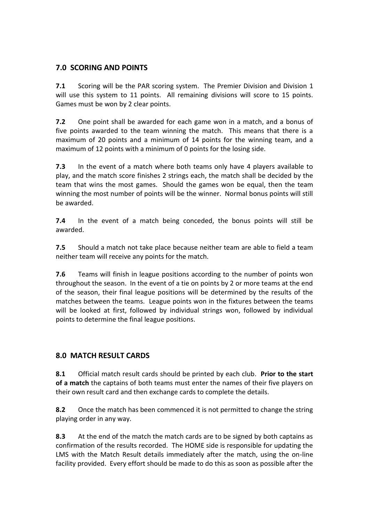# **7.0 SCORING AND POINTS**

**7.1** Scoring will be the PAR scoring system. The Premier Division and Division 1 will use this system to 11 points. All remaining divisions will score to 15 points. Games must be won by 2 clear points.

**7.2** One point shall be awarded for each game won in a match, and a bonus of five points awarded to the team winning the match. This means that there is a maximum of 20 points and a minimum of 14 points for the winning team, and a maximum of 12 points with a minimum of 0 points for the losing side.

**7.3** In the event of a match where both teams only have 4 players available to play, and the match score finishes 2 strings each, the match shall be decided by the team that wins the most games. Should the games won be equal, then the team winning the most number of points will be the winner. Normal bonus points will still be awarded.

**7.4** In the event of a match being conceded, the bonus points will still be awarded.

**7.5** Should a match not take place because neither team are able to field a team neither team will receive any points for the match.

**7.6** Teams will finish in league positions according to the number of points won throughout the season. In the event of a tie on points by 2 or more teams at the end of the season, their final league positions will be determined by the results of the matches between the teams. League points won in the fixtures between the teams will be looked at first, followed by individual strings won, followed by individual points to determine the final league positions.

## **8.0 MATCH RESULT CARDS**

**8.1** Official match result cards should be printed by each club. **Prior to the start of a match** the captains of both teams must enter the names of their five players on their own result card and then exchange cards to complete the details.

**8.2** Once the match has been commenced it is not permitted to change the string playing order in any way.

**8.3** At the end of the match the match cards are to be signed by both captains as confirmation of the results recorded. The HOME side is responsible for updating the LMS with the Match Result details immediately after the match, using the on-line facility provided. Every effort should be made to do this as soon as possible after the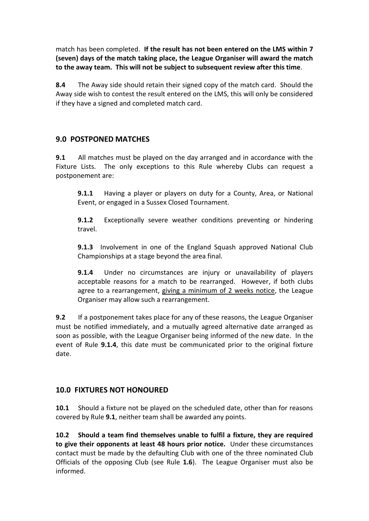match has been completed. **If the result has not been entered on the LMS within 7 (seven) days of the match taking place, the League Organiser will award the match to the away team. This will not be subject to subsequent review after this time**.

**8.4** The Away side should retain their signed copy of the match card. Should the Away side wish to contest the result entered on the LMS, this will only be considered if they have a signed and completed match card.

## **9.0 POSTPONED MATCHES**

**9.1** All matches must be played on the day arranged and in accordance with the Fixture Lists. The only exceptions to this Rule whereby Clubs can request a postponement are:

**9.1.1** Having a player or players on duty for a County, Area, or National Event, or engaged in a Sussex Closed Tournament.

**9.1.2** Exceptionally severe weather conditions preventing or hindering travel.

**9.1.3** Involvement in one of the England Squash approved National Club Championships at a stage beyond the area final.

**9.1.4** Under no circumstances are injury or unavailability of players acceptable reasons for a match to be rearranged. However, if both clubs agree to a rearrangement, giving a minimum of 2 weeks notice, the League Organiser may allow such a rearrangement.

**9.2** If a postponement takes place for any of these reasons, the League Organiser must be notified immediately, and a mutually agreed alternative date arranged as soon as possible, with the League Organiser being informed of the new date. In the event of Rule **9.1.4**, this date must be communicated prior to the original fixture date.

## **10.0 FIXTURES NOT HONOURED**

**10.1** Should a fixture not be played on the scheduled date, other than for reasons covered by Rule **9.1**, neither team shall be awarded any points.

**10.2 Should a team find themselves unable to fulfil a fixture, they are required to give their opponents at least 48 hours prior notice.** Under these circumstances contact must be made by the defaulting Club with one of the three nominated Club Officials of the opposing Club (see Rule **1.6**). The League Organiser must also be informed.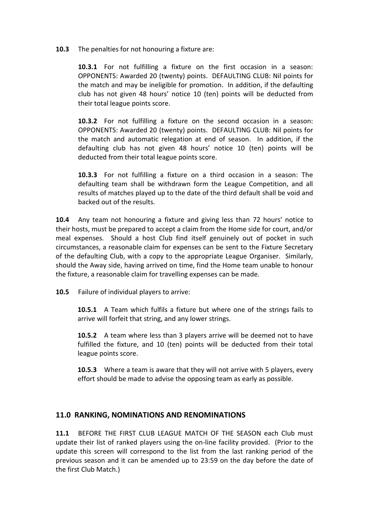#### **10.3** The penalties for not honouring a fixture are:

**10.3.1** For not fulfilling a fixture on the first occasion in a season: OPPONENTS: Awarded 20 (twenty) points. DEFAULTING CLUB: Nil points for the match and may be ineligible for promotion. In addition, if the defaulting club has not given 48 hours' notice 10 (ten) points will be deducted from their total league points score.

**10.3.2** For not fulfilling a fixture on the second occasion in a season: OPPONENTS: Awarded 20 (twenty) points. DEFAULTING CLUB: Nil points for the match and automatic relegation at end of season. In addition, if the defaulting club has not given 48 hours' notice 10 (ten) points will be deducted from their total league points score.

**10.3.3** For not fulfilling a fixture on a third occasion in a season: The defaulting team shall be withdrawn form the League Competition, and all results of matches played up to the date of the third default shall be void and backed out of the results.

**10.4** Any team not honouring a fixture and giving less than 72 hours' notice to their hosts, must be prepared to accept a claim from the Home side for court, and/or meal expenses. Should a host Club find itself genuinely out of pocket in such circumstances, a reasonable claim for expenses can be sent to the Fixture Secretary of the defaulting Club, with a copy to the appropriate League Organiser. Similarly, should the Away side, having arrived on time, find the Home team unable to honour the fixture, a reasonable claim for travelling expenses can be made.

**10.5** Failure of individual players to arrive:

**10.5.1** A Team which fulfils a fixture but where one of the strings fails to arrive will forfeit that string, and any lower strings.

**10.5.2** A team where less than 3 players arrive will be deemed not to have fulfilled the fixture, and 10 (ten) points will be deducted from their total league points score.

**10.5.3** Where a team is aware that they will not arrive with 5 players, every effort should be made to advise the opposing team as early as possible.

#### **11.0 RANKING, NOMINATIONS AND RENOMINATIONS**

**11.1** BEFORE THE FIRST CLUB LEAGUE MATCH OF THE SEASON each Club must update their list of ranked players using the on-line facility provided. (Prior to the update this screen will correspond to the list from the last ranking period of the previous season and it can be amended up to 23:59 on the day before the date of the first Club Match.)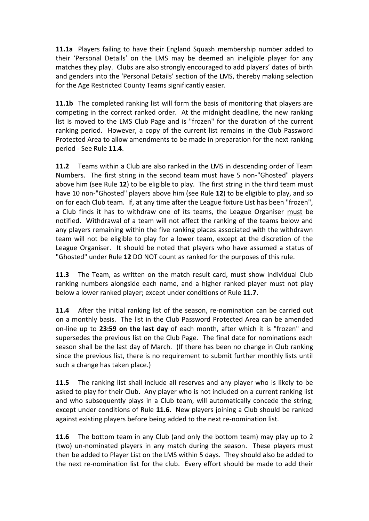**11.1a** Players failing to have their England Squash membership number added to their 'Personal Details' on the LMS may be deemed an ineligible player for any matches they play. Clubs are also strongly encouraged to add players' dates of birth and genders into the 'Personal Details' section of the LMS, thereby making selection for the Age Restricted County Teams significantly easier.

**11.1b** The completed ranking list will form the basis of monitoring that players are competing in the correct ranked order. At the midnight deadline, the new ranking list is moved to the LMS Club Page and is "frozen" for the duration of the current ranking period. However, a copy of the current list remains in the Club Password Protected Area to allow amendments to be made in preparation for the next ranking period - See Rule **11.4**.

**11.2** Teams within a Club are also ranked in the LMS in descending order of Team Numbers. The first string in the second team must have 5 non-"Ghosted" players above him (see Rule **12**) to be eligible to play. The first string in the third team must have 10 non-"Ghosted" players above him (see Rule **12**) to be eligible to play, and so on for each Club team. If, at any time after the League fixture List has been "frozen", a Club finds it has to withdraw one of its teams, the League Organiser must be notified. Withdrawal of a team will not affect the ranking of the teams below and any players remaining within the five ranking places associated with the withdrawn team will not be eligible to play for a lower team, except at the discretion of the League Organiser. It should be noted that players who have assumed a status of "Ghosted" under Rule **12** DO NOT count as ranked for the purposes of this rule.

**11.3** The Team, as written on the match result card, must show individual Club ranking numbers alongside each name, and a higher ranked player must not play below a lower ranked player; except under conditions of Rule **11.7**.

**11.4** After the initial ranking list of the season, re-nomination can be carried out on a monthly basis. The list in the Club Password Protected Area can be amended on-line up to **23:59 on the last day** of each month, after which it is "frozen" and supersedes the previous list on the Club Page. The final date for nominations each season shall be the last day of March. (If there has been no change in Club ranking since the previous list, there is no requirement to submit further monthly lists until such a change has taken place.)

**11.5** The ranking list shall include all reserves and any player who is likely to be asked to play for their Club. Any player who is not included on a current ranking list and who subsequently plays in a Club team, will automatically concede the string; except under conditions of Rule **11.6**. New players joining a Club should be ranked against existing players before being added to the next re-nomination list.

**11.6** The bottom team in any Club (and only the bottom team) may play up to 2 (two) un-nominated players in any match during the season. These players must then be added to Player List on the LMS within 5 days. They should also be added to the next re-nomination list for the club. Every effort should be made to add their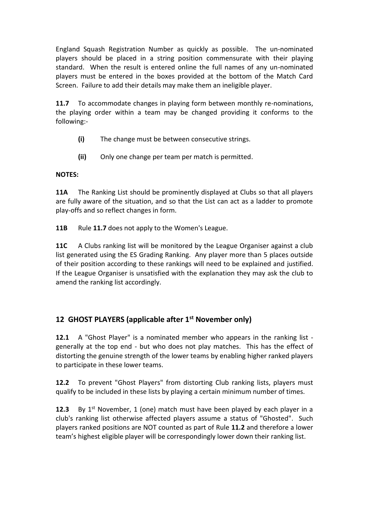England Squash Registration Number as quickly as possible. The un-nominated players should be placed in a string position commensurate with their playing standard. When the result is entered online the full names of any un-nominated players must be entered in the boxes provided at the bottom of the Match Card Screen. Failure to add their details may make them an ineligible player.

**11.7** To accommodate changes in playing form between monthly re-nominations, the playing order within a team may be changed providing it conforms to the following:-

- **(i)** The change must be between consecutive strings.
- **(ii)** Only one change per team per match is permitted.

#### **NOTES:**

**11A** The Ranking List should be prominently displayed at Clubs so that all players are fully aware of the situation, and so that the List can act as a ladder to promote play-offs and so reflect changes in form.

**11B** Rule **11.7** does not apply to the Women's League.

**11C** A Clubs ranking list will be monitored by the League Organiser against a club list generated using the ES Grading Ranking. Any player more than 5 places outside of their position according to these rankings will need to be explained and justified. If the League Organiser is unsatisfied with the explanation they may ask the club to amend the ranking list accordingly.

## **12 GHOST PLAYERS (applicable after 1st November only)**

**12.1** A "Ghost Player" is a nominated member who appears in the ranking list generally at the top end - but who does not play matches. This has the effect of distorting the genuine strength of the lower teams by enabling higher ranked players to participate in these lower teams.

**12.2** To prevent "Ghost Players" from distorting Club ranking lists, players must qualify to be included in these lists by playing a certain minimum number of times.

**12.3** By 1<sup>st</sup> November, 1 (one) match must have been played by each player in a club's ranking list otherwise affected players assume a status of "Ghosted". Such players ranked positions are NOT counted as part of Rule **11.2** and therefore a lower team's highest eligible player will be correspondingly lower down their ranking list.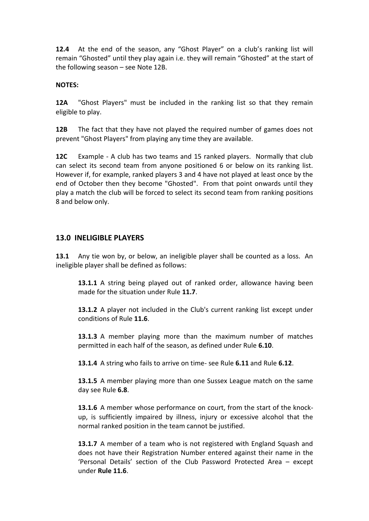**12.4** At the end of the season, any "Ghost Player" on a club's ranking list will remain "Ghosted" until they play again i.e. they will remain "Ghosted" at the start of the following season – see Note 12B.

#### **NOTES:**

**12A** "Ghost Players" must be included in the ranking list so that they remain eligible to play.

**12B** The fact that they have not played the required number of games does not prevent "Ghost Players" from playing any time they are available.

**12C** Example - A club has two teams and 15 ranked players. Normally that club can select its second team from anyone positioned 6 or below on its ranking list. However if, for example, ranked players 3 and 4 have not played at least once by the end of October then they become "Ghosted". From that point onwards until they play a match the club will be forced to select its second team from ranking positions 8 and below only.

#### **13.0 INELIGIBLE PLAYERS**

**13.1** Any tie won by, or below, an ineligible player shall be counted as a loss. An ineligible player shall be defined as follows:

**13.1.1** A string being played out of ranked order, allowance having been made for the situation under Rule **11.7**.

**13.1.2** A player not included in the Club's current ranking list except under conditions of Rule **11.6**.

**13.1.3** A member playing more than the maximum number of matches permitted in each half of the season, as defined under Rule **6.10**.

**13.1.4** A string who fails to arrive on time- see Rule **6.11** and Rule **6.12**.

**13.1.5** A member playing more than one Sussex League match on the same day see Rule **6.8**.

**13.1.6** A member whose performance on court, from the start of the knockup, is sufficiently impaired by illness, injury or excessive alcohol that the normal ranked position in the team cannot be justified.

**13.1.7** A member of a team who is not registered with England Squash and does not have their Registration Number entered against their name in the 'Personal Details' section of the Club Password Protected Area – except under **Rule 11.6**.